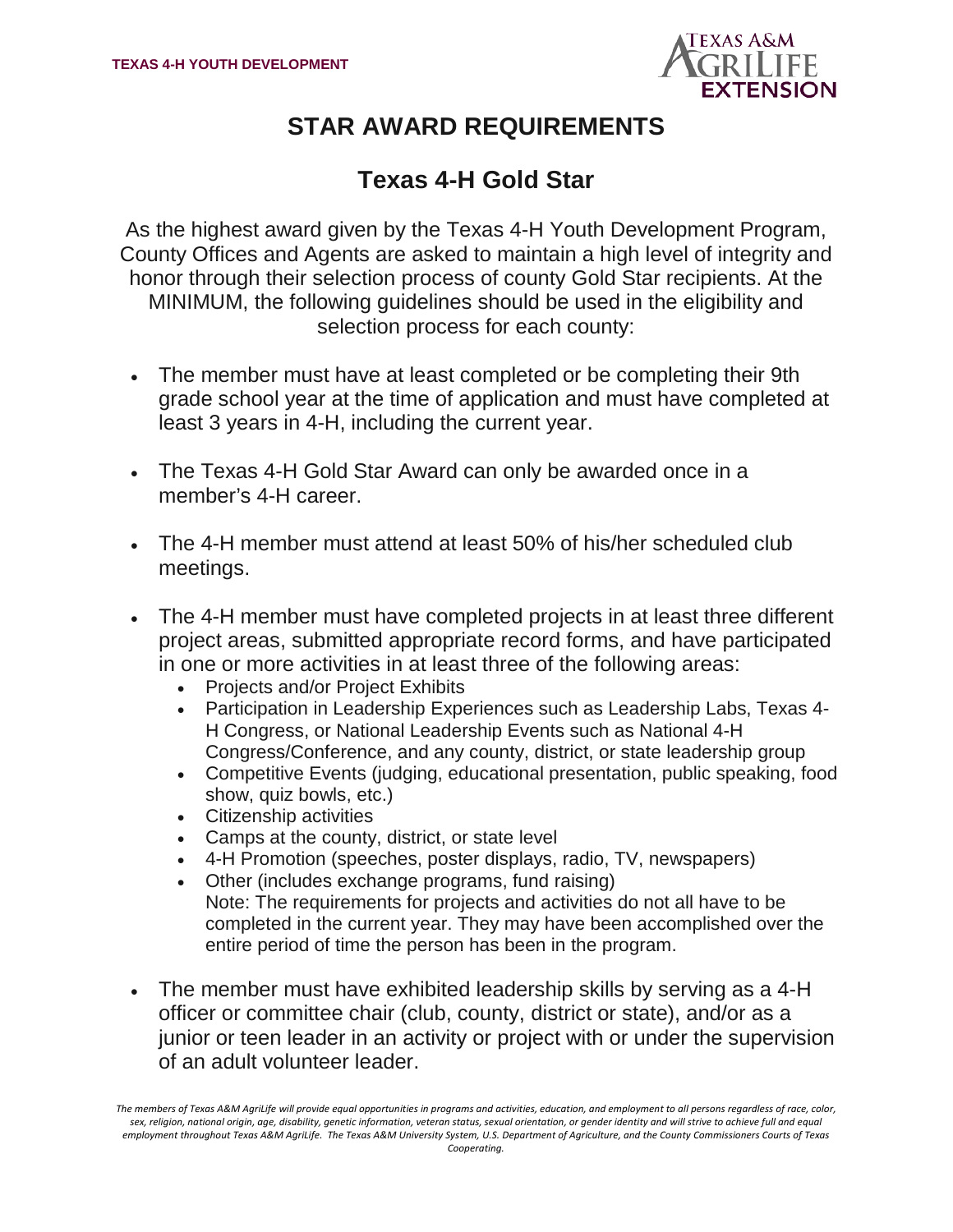

# **STAR AWARD REQUIREMENTS**

## **Texas 4-H Gold Star**

As the highest award given by the Texas 4-H Youth Development Program, County Offices and Agents are asked to maintain a high level of integrity and honor through their selection process of county Gold Star recipients. At the MINIMUM, the following guidelines should be used in the eligibility and selection process for each county:

- The member must have at least completed or be completing their 9th grade school year at the time of application and must have completed at least 3 years in 4-H, including the current year.
- The Texas 4-H Gold Star Award can only be awarded once in a member's 4-H career.
- The 4-H member must attend at least 50% of his/her scheduled club meetings.
- The 4-H member must have completed projects in at least three different project areas, submitted appropriate record forms, and have participated in one or more activities in at least three of the following areas:
	- Projects and/or Project Exhibits
	- Participation in Leadership Experiences such as Leadership Labs, Texas 4- H Congress, or National Leadership Events such as National 4-H Congress/Conference, and any county, district, or state leadership group
	- Competitive Events (judging, educational presentation, public speaking, food show, quiz bowls, etc.)
	- Citizenship activities
	- Camps at the county, district, or state level
	- 4-H Promotion (speeches, poster displays, radio, TV, newspapers)
	- Other (includes exchange programs, fund raising) Note: The requirements for projects and activities do not all have to be completed in the current year. They may have been accomplished over the entire period of time the person has been in the program.
- The member must have exhibited leadership skills by serving as a 4-H officer or committee chair (club, county, district or state), and/or as a junior or teen leader in an activity or project with or under the supervision of an adult volunteer leader.

*The members of Texas A&M AgriLife will provide equal opportunities in programs and activities, education, and employment to all persons regardless of race, color, sex, religion, national origin, age, disability, genetic information, veteran status, sexual orientation, or gender identity and will strive to achieve full and equal*  employment throughout Texas A&M AgriLife. The Texas A&M University System, U.S. Department of Agriculture, and the County Commissioners Courts of Texas *Cooperating.*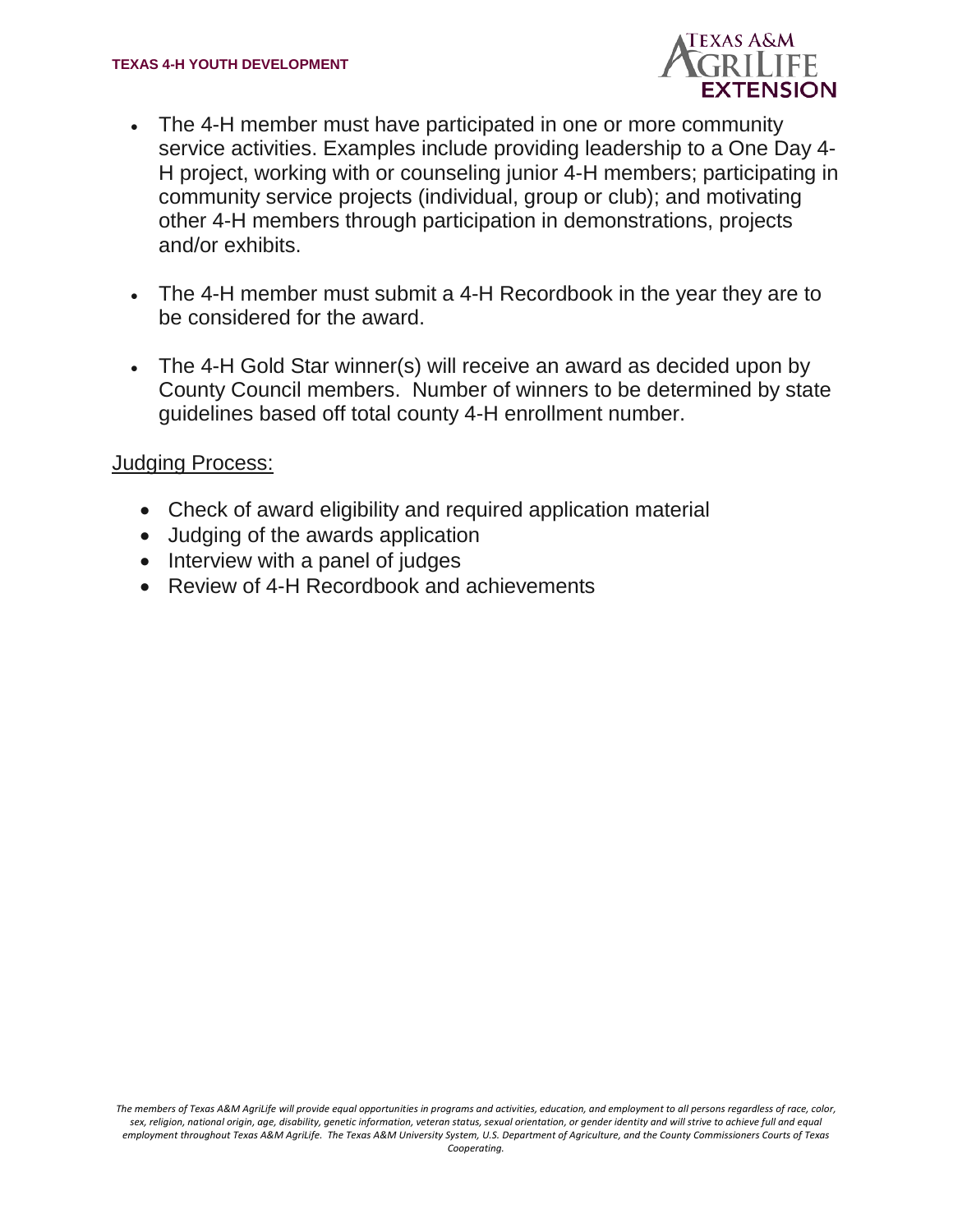

- The 4-H member must have participated in one or more community service activities. Examples include providing leadership to a One Day 4- H project, working with or counseling junior 4-H members; participating in community service projects (individual, group or club); and motivating other 4-H members through participation in demonstrations, projects and/or exhibits.
- The 4-H member must submit a 4-H Recordbook in the year they are to be considered for the award.
- The 4-H Gold Star winner(s) will receive an award as decided upon by County Council members. Number of winners to be determined by state guidelines based off total county 4-H enrollment number.

### Judging Process:

- Check of award eligibility and required application material
- Judging of the awards application
- Interview with a panel of judges
- Review of 4-H Recordbook and achievements

*The members of Texas A&M AgriLife will provide equal opportunities in programs and activities, education, and employment to all persons regardless of race, color, sex, religion, national origin, age, disability, genetic information, veteran status, sexual orientation, or gender identity and will strive to achieve full and equal*  employment throughout Texas A&M AgriLife. The Texas A&M University System, U.S. Department of Agriculture, and the County Commissioners Courts of Texas *Cooperating.*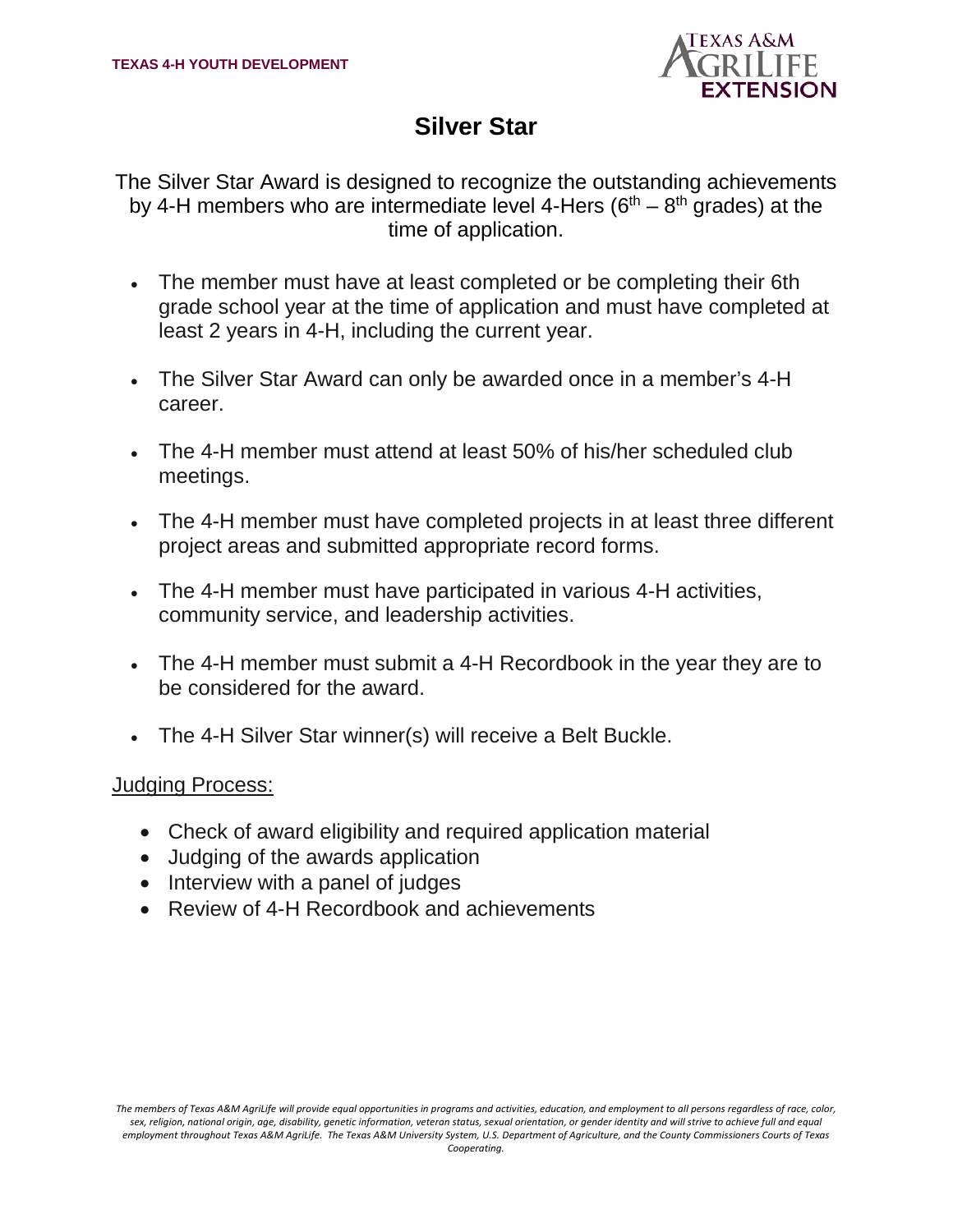

### **Silver Star**

The Silver Star Award is designed to recognize the outstanding achievements by 4-H members who are intermediate level 4-Hers ( $6<sup>th</sup> - 8<sup>th</sup>$  grades) at the time of application.

- The member must have at least completed or be completing their 6th grade school year at the time of application and must have completed at least 2 years in 4-H, including the current year.
- The Silver Star Award can only be awarded once in a member's 4-H career.
- The 4-H member must attend at least 50% of his/her scheduled club meetings.
- The 4-H member must have completed projects in at least three different project areas and submitted appropriate record forms.
- The 4-H member must have participated in various 4-H activities, community service, and leadership activities.
- The 4-H member must submit a 4-H Recordbook in the year they are to be considered for the award.
- The 4-H Silver Star winner(s) will receive a Belt Buckle.

#### Judging Process:

- Check of award eligibility and required application material
- Judging of the awards application
- Interview with a panel of judges
- Review of 4-H Recordbook and achievements